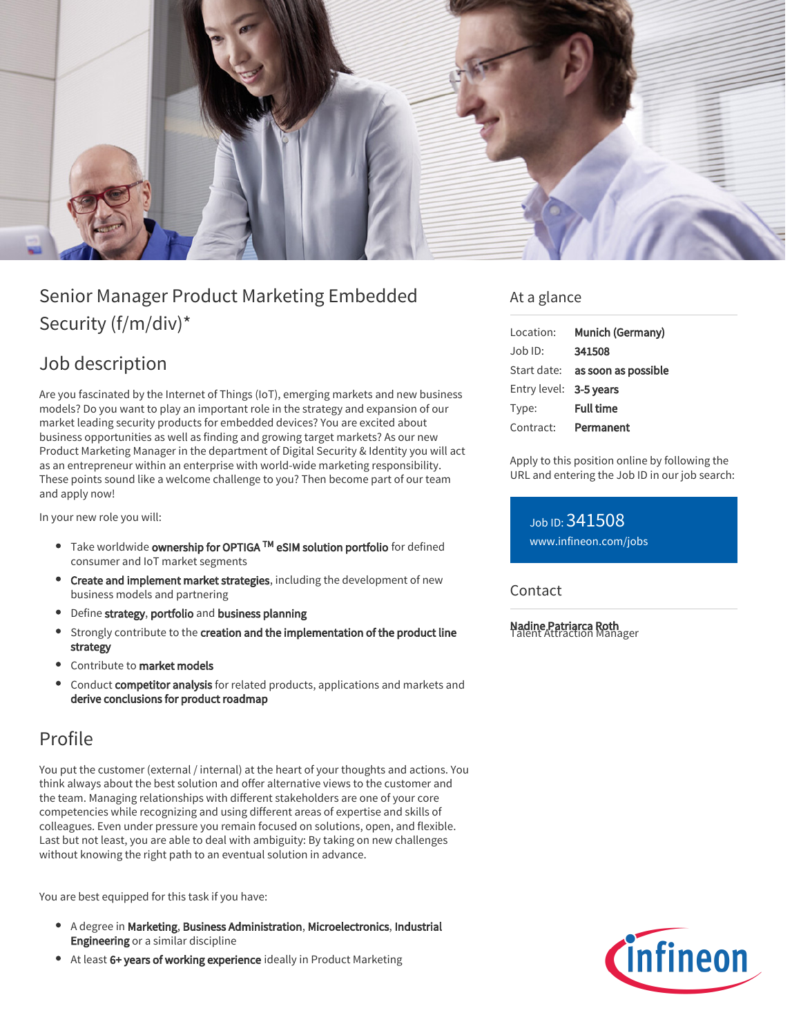

# Senior Manager Product Marketing Embedded Security (f/m/div)\*

## Job description

Are you fascinated by the Internet of Things (IoT), emerging markets and new business models? Do you want to play an important role in the strategy and expansion of our market leading security products for embedded devices? You are excited about business opportunities as well as finding and growing target markets? As our new Product Marketing Manager in the department of Digital Security & Identity you will act as an entrepreneur within an enterprise with world-wide marketing responsibility. These points sound like a welcome challenge to you? Then become part of our team and apply now!

In your new role you will:

- Take worldwide **ownership for OPTIGA ™ eSIM solution portfolio** for defined consumer and IoT market segments
- Create and implement market strategies, including the development of new business models and partnering
- Define strategy, portfolio and business planning
- Strongly contribute to the creation and the implementation of the product line strategy
- Contribute to market models
- Conduct competitor analysis for related products, applications and markets and derive conclusions for product roadmap

### Profile

You put the customer (external / internal) at the heart of your thoughts and actions. You think always about the best solution and offer alternative views to the customer and the team. Managing relationships with different stakeholders are one of your core competencies while recognizing and using different areas of expertise and skills of colleagues. Even under pressure you remain focused on solutions, open, and flexible. Last but not least, you are able to deal with ambiguity: By taking on new challenges without knowing the right path to an eventual solution in advance.

You are best equipped for this task if you have:

- A degree in Marketing, Business Administration, Microelectronics, Industrial Engineering or a similar discipline
- At least 6+ years of working experience ideally in Product Marketing

#### At a glance

| Location:              | Munich (Germany)                |
|------------------------|---------------------------------|
| Job ID:                | 341508                          |
|                        | Start date: as soon as possible |
| Entry level: 3-5 years |                                 |
| Type:                  | <b>Full time</b>                |
| Contract:              | Permanent                       |

Apply to this position online by following the URL and entering the Job ID in our job search:

Job ID: 341508 [www.infineon.com/jobs](https://www.infineon.com/jobs)

Contact

Nadine Patriarca Roth Talent Attraction Manager